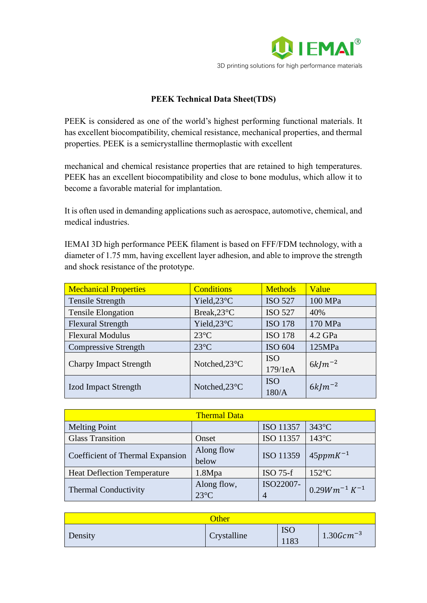

## **PEEK Technical Data Sheet(TDS)**

PEEK is considered as one of the world's highest performing functional materials. It has excellent biocompatibility, chemical resistance, mechanical properties, and thermal properties. PEEK is a semicrystalline thermoplastic with excellent

mechanical and chemical resistance properties that are retained to high temperatures. PEEK has an excellent biocompatibility and close to bone modulus, which allow it to become a favorable material for implantation.

It is often used in demanding applications such as aerospace, automotive, chemical, and medical industries.

IEMAI 3D high performance PEEK filament is based on FFF/FDM technology, with a diameter of 1.75 mm, having excellent layer adhesion, and able to improve the strength and shock resistance of the prototype.

| <b>Mechanical Properties</b>                   | <b>Conditions</b> | <b>Methods</b> | Value       |  |
|------------------------------------------------|-------------------|----------------|-------------|--|
| <b>Tensile Strength</b>                        | Yield,23°C        | <b>ISO 527</b> | 100 MPa     |  |
| <b>Tensile Elongation</b>                      | Break, 23°C       | <b>ISO 527</b> | 40%         |  |
| <b>Flexural Strength</b>                       | Yield,23°C        | <b>ISO 178</b> | 170 MPa     |  |
| <b>Flexural Modulus</b>                        | $23^{\circ}$ C    | <b>ISO 178</b> | 4.2 GPa     |  |
| <b>Compressive Strength</b>                    | $23^{\circ}$ C    | ISO 604        | 125MPa      |  |
| Notched, 23°C<br><b>Charpy Impact Strength</b> |                   | <b>ISO</b>     | $6k/m^{-2}$ |  |
|                                                |                   | 179/1eA        |             |  |
| <b>Izod Impact Strength</b>                    | Notched, 23°C     | <b>ISO</b>     | $6k/m^{-2}$ |  |
|                                                |                   | 180/A          |             |  |

| <b>Thermal Data</b>                |                               |            |                     |
|------------------------------------|-------------------------------|------------|---------------------|
| <b>Melting Point</b>               |                               | ISO 11357  | $343^{\circ}$ C     |
| <b>Glass Transition</b>            | Onset                         | ISO 11357  | $143^{\circ}$ C     |
| Coefficient of Thermal Expansion   | Along flow<br>below           | ISO 11359  | $45 ppmK^{-1}$      |
| <b>Heat Deflection Temperature</b> | 1.8Mpa                        | $ISO 75-f$ | $152^{\circ}$ C     |
| <b>Thermal Conductivity</b>        | Along flow,<br>$23^{\circ}$ C | ISO22007-  | $0.29Wm^{-1}K^{-1}$ |

| Other   |             |                   |                    |
|---------|-------------|-------------------|--------------------|
| Density | Crystalline | <b>ISC</b><br>183 | $1.30$ G $cm^{-3}$ |